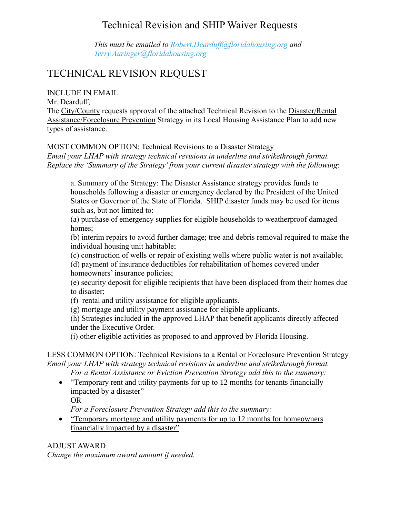## Technical Revision and SHIP Waiver Requests

*This must be emailed to [Robert.Dearduff@floridahousing.org](mailto:Robert.Dearduff@floridahousing.org) and [Terry.Auringer@floridahousing.](mailto:Terry.Auringer@floridahousing)org*

# TECHNICAL REVISION REQUEST

INCLUDE IN EMAIL

Mr. Dearduff,

The City/County requests approval of the attached Technical Revision to the Disaster/Rental Assistance/Foreclosure Prevention Strategy in its Local Housing Assistance Plan to add new types of assistance.

MOST COMMON OPTION: Technical Revisions to a Disaster Strategy

*Email your LHAP with strategy technical revisions in underline and strikethrough format. Replace the 'Summary of the Strategy' from your current disaster strategy with the following*:

a. Summary of the Strategy: The Disaster Assistance strategy provides funds to households following a disaster or emergency declared by the President of the United States or Governor of the State of Florida. SHIP disaster funds may be used for items such as, but not limited to:

(a) purchase of emergency supplies for eligible households to weatherproof damaged homes;

(b) interim repairs to avoid further damage; tree and debris removal required to make the individual housing unit habitable;

(c) construction of wells or repair of existing wells where public water is not available; (d) payment of insurance deductibles for rehabilitation of homes covered under homeowners' insurance policies;

(e) security deposit for eligible recipients that have been displaced from their homes due to disaster;

(f) rental and utility assistance for eligible applicants.

(g) mortgage and utility payment assistance for eligible applicants.

(h) Strategies included in the approved LHAP that benefit applicants directly affected under the Executive Order.

(i) other eligible activities as proposed to and approved by Florida Housing.

LESS COMMON OPTION: Technical Revisions to a Rental or Foreclosure Prevention Strategy *Email your LHAP with strategy technical revisions in underline and strikethrough format.* 

*For a Rental Assistance or Eviction Prevention Strategy add this to the summary:*

• "Temporary rent and utility payments for up to 12 months for tenants financially impacted by a disaster" OR

*For a Foreclosure Prevention Strategy add this to the summary:*

• "Temporary mortgage and utility payments for up to 12 months for homeowners financially impacted by a disaster"

#### ADJUST AWARD

*Change the maximum award amount if needed.*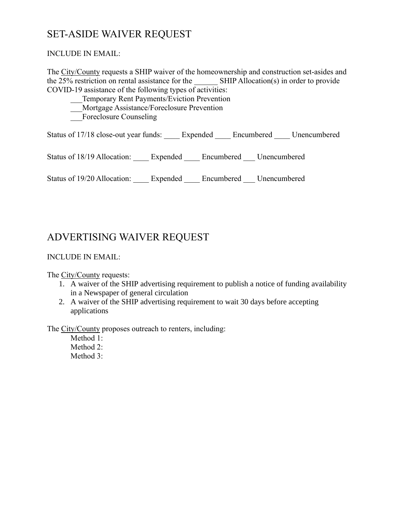## SET-ASIDE WAIVER REQUEST

#### INCLUDE IN EMAIL:

The City/County requests a SHIP waiver of the homeownership and construction set-asides and the 25% restriction on rental assistance for the SHIP Allocation(s) in order to provide COVID-19 assistance of the following types of activities:

- \_\_\_Temporary Rent Payments/Eviction Prevention
- \_\_\_Mortgage Assistance/Foreclosure Prevention
- Foreclosure Counseling

Status of 17/18 close-out year funds: \_\_\_\_ Expended \_\_\_\_ Encumbered \_\_\_\_ Unencumbered

Status of 18/19 Allocation: \_\_\_\_ Expended \_\_\_\_ Encumbered \_\_\_ Unencumbered

Status of 19/20 Allocation: Expended Encumbered Unencumbered

### ADVERTISING WAIVER REQUEST

#### INCLUDE IN EMAIL:

The City/County requests:

- 1. A waiver of the SHIP advertising requirement to publish a notice of funding availability in a Newspaper of general circulation
- 2. A waiver of the SHIP advertising requirement to wait 30 days before accepting applications

The City/County proposes outreach to renters, including:

Method 1: Method 2: Method 3: